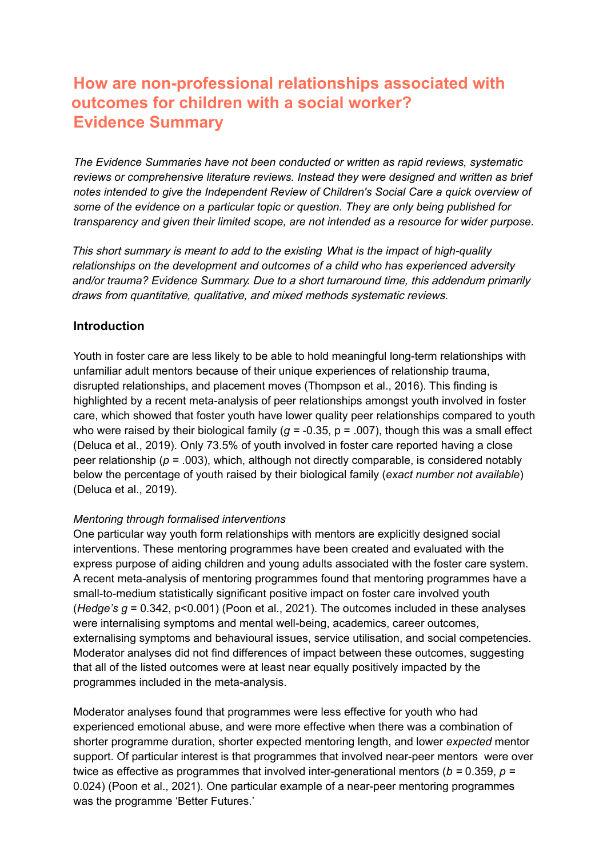## **How are non-professional relationships associated with outcomes for children with a social worker? Evidence Summary**

*The Evidence Summaries have not been conducted or written as rapid reviews, systematic reviews or comprehensive literature reviews. Instead they were designed and written as brief notes intended to give the Independent Review of Children's Social Care a quick overview of some of the evidence on a particular topic or question. They are only being published for transparency and given their limited scope, are not intended as a resource for wider purpose.*

This short summary is meant to add to the existing *What is the impact of high-quality relationships on the development and outcomes of a child who has experienced adversity and/or trauma? Evidence Summary*. Due to a short turnaround time, this addendum primarily draws from quantitative, qualitative, and mixed methods systematic reviews.

## **Introduction**

 who were raised by their biological family (*g =* -0.35, p = .007), though this was a small effect Youth in foster care are less likely to be able to hold meaningful long-term relationships with unfamiliar adult mentors because of their unique experiences of relationship trauma, disrupted relationships, and placement moves (Thompson et al., 2016). This finding is highlighted by a recent meta-analysis of peer relationships amongst youth involved in foster care, which showed that foster youth have lower quality peer relationships compared to youth (Deluca et al., 2019). Only 73.5% of youth involved in foster care reported having a close peer relationship (*p =* .003), which, although not directly comparable, is considered notably below the percentage of youth raised by their biological family (*exact number not available*) (Deluca et al., 2019).

### *Mentoring through formalised interventions*

One particular way youth form relationships with mentors are explicitly designed social interventions. These mentoring programmes have been created and evaluated with the express purpose of aiding children and young adults associated with the foster care system. A recent meta-analysis of mentoring programmes found that mentoring programmes have a small-to-medium statistically significant positive impact on foster care involved youth (*Hedge's*  $q = 0.342$ *, p<0.001*) (Poon et al., 2021). The outcomes included in these analyses were internalising symptoms and mental well-being, academics, career outcomes, externalising symptoms and behavioural issues, service utilisation, and social competencies. Moderator analyses did not find differences of impact between these outcomes, suggesting that all of the listed outcomes were at least near equally positively impacted by the programmes included in the meta-analysis.

 twice as effective as programmes that involved inter-generational mentors (*b =* 0.359, *p =* Moderator analyses found that programmes were less effective for youth who had experienced emotional abuse, and were more effective when there was a combination of shorter programme duration, shorter expected mentoring length, and lower *expected* mentor support. Of particular interest is that programmes that involved near-peer mentors were over 0.024) (Poon et al., 2021). One particular example of a near-peer mentoring programmes was the programme 'Better Futures.'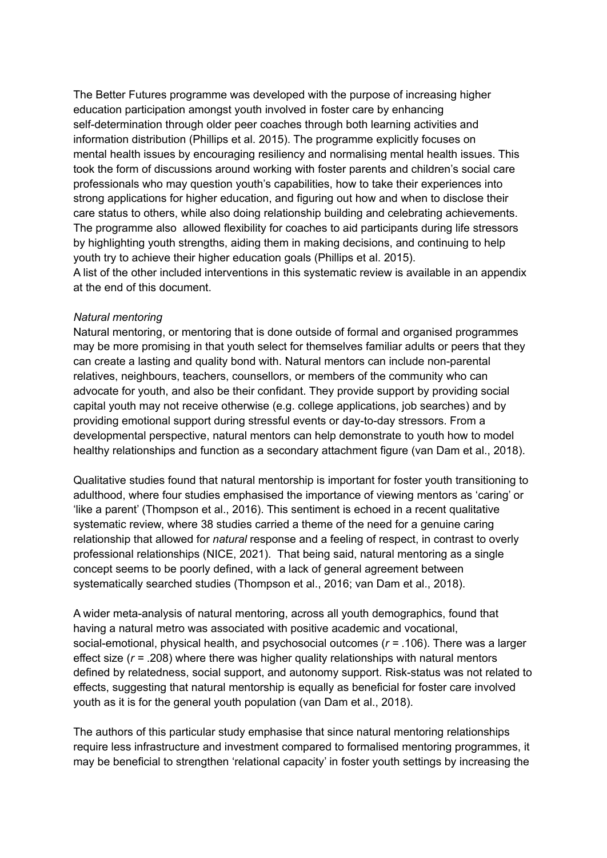The Better Futures programme was developed with the purpose of increasing higher education participation amongst youth involved in foster care by enhancing self-determination through older peer coaches through both learning activities and information distribution (Phillips et al. 2015). The programme explicitly focuses on mental health issues by encouraging resiliency and normalising mental health issues. This took the form of discussions around working with foster parents and children's social care professionals who may question youth's capabilities, how to take their experiences into strong applications for higher education, and figuring out how and when to disclose their care status to others, while also doing relationship building and celebrating achievements. The programme also allowed flexibility for coaches to aid participants during life stressors by highlighting youth strengths, aiding them in making decisions, and continuing to help youth try to achieve their higher education goals (Phillips et al. 2015).

A list of the other included interventions in this systematic review is available in an appendix at the end of this document.

#### *Natural mentoring*

Natural mentoring, or mentoring that is done outside of formal and organised programmes may be more promising in that youth select for themselves familiar adults or peers that they can create a lasting and quality bond with. Natural mentors can include non-parental relatives, neighbours, teachers, counsellors, or members of the community who can advocate for youth, and also be their confidant. They provide support by providing social capital youth may not receive otherwise (e.g. college applications, job searches) and by providing emotional support during stressful events or day-to-day stressors. From a developmental perspective, natural mentors can help demonstrate to youth how to model healthy relationships and function as a secondary attachment figure (van Dam et al., 2018).

Qualitative studies found that natural mentorship is important for foster youth transitioning to adulthood, where four studies emphasised the importance of viewing mentors as 'caring' or 'like a parent' (Thompson et al., 2016). This sentiment is echoed in a recent qualitative systematic review, where 38 studies carried a theme of the need for a genuine caring relationship that allowed for *natural* response and a feeling of respect, in contrast to overly professional relationships (NICE, 2021). That being said, natural mentoring as a single concept seems to be poorly defined, with a lack of general agreement between systematically searched studies (Thompson et al., 2016; van Dam et al., 2018).

A wider meta-analysis of natural mentoring, across all youth demographics, found that having a natural metro was associated with positive academic and vocational, social-emotional, physical health, and psychosocial outcomes (*r =* .106). There was a larger effect size (*r =* .208) where there was higher quality relationships with natural mentors defined by relatedness, social support, and autonomy support. Risk-status was not related to effects, suggesting that natural mentorship is equally as beneficial for foster care involved youth as it is for the general youth population (van Dam et al., 2018).

The authors of this particular study emphasise that since natural mentoring relationships require less infrastructure and investment compared to formalised mentoring programmes, it may be beneficial to strengthen 'relational capacity' in foster youth settings by increasing the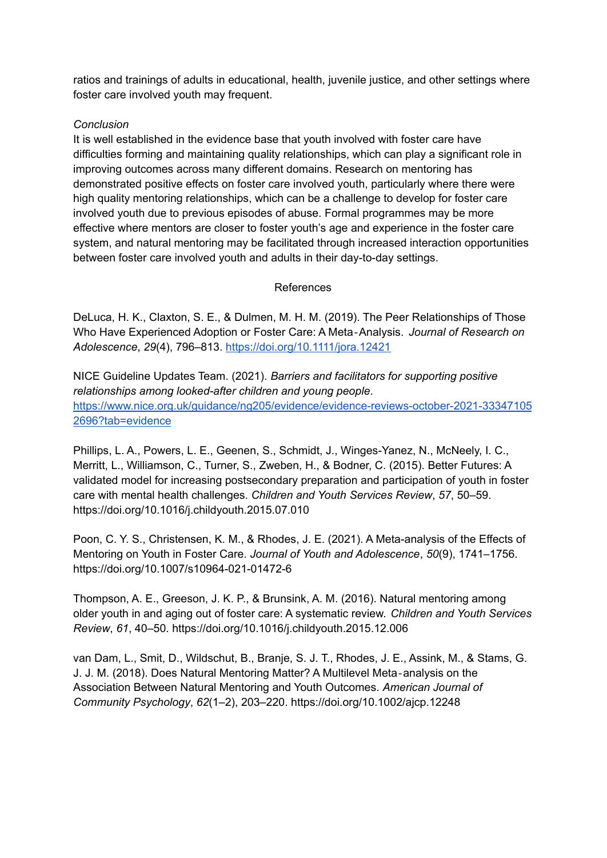ratios and trainings of adults in educational, health, juvenile justice, and other settings where foster care involved youth may frequent.

## *Conclusion*

 It is well established in the evidence base that youth involved with foster care have difficulties forming and maintaining quality relationships, which can play a significant role in improving outcomes across many different domains. Research on mentoring has demonstrated positive effects on foster care involved youth, particularly where there were high quality mentoring relationships, which can be a challenge to develop for foster care involved youth due to previous episodes of abuse. Formal programmes may be more effective where mentors are closer to foster youth's age and experience in the foster care system, and natural mentoring may be facilitated through increased interaction opportunities between foster care involved youth and adults in their day-to-day settings.

## References

 DeLuca, H. K., Claxton, S. E., & Dulmen, M. H. M. (2019). The Peer Relationships of Those Who Have Experienced Adoption or Foster Care: A Meta‐Analysis. *Journal of Research on Adolescence*, *29*(4), 796–813. <https://doi.org/10.1111/jora.12421>

 NICE Guideline Updates Team. (2021). *Barriers and facilitators for supporting positive relationships among looked-after children and young people*. [https://www.nice.org.uk/guidance/ng205/evidence/evidence-reviews-october-2021-33347105](https://www.nice.org.uk/guidance/ng205/evidence/evidence-reviews-october-2021-333471052696?tab=evidence) [2696?tab=evidence](https://www.nice.org.uk/guidance/ng205/evidence/evidence-reviews-october-2021-333471052696?tab=evidence)

 Phillips, L. A., Powers, L. E., Geenen, S., Schmidt, J., Winges-Yanez, N., McNeely, I. C., Merritt, L., Williamson, C., Turner, S., Zweben, H., & Bodner, C. (2015). Better Futures: A validated model for increasing postsecondary preparation and participation of youth in foster care with mental health challenges. *Children and Youth Services Review*, *57*, 50–59. <https://doi.org/10.1016/j.childyouth.2015.07.010>

 Poon, C. Y. S., Christensen, K. M., & Rhodes, J. E. (2021). A Meta-analysis of the Effects of Mentoring on Youth in Foster Care. *Journal of Youth and Adolescence*, *50*(9), 1741–1756. <https://doi.org/10.1007/s10964-021-01472-6>

 Thompson, A. E., Greeson, J. K. P., & Brunsink, A. M. (2016). Natural mentoring among older youth in and aging out of foster care: A systematic review. *Children and Youth Services Review*, *61*, 40–50. <https://doi.org/10.1016/j.childyouth.2015.12.006>

 van Dam, L., Smit, D., Wildschut, B., Branje, S. J. T., Rhodes, J. E., Assink, M., & Stams, G. J. J. M. (2018). Does Natural Mentoring Matter? A Multilevel Meta‐analysis on the Association Between Natural Mentoring and Youth Outcomes. *American Journal of Community Psychology*, *62*(1–2), 203–220. <https://doi.org/10.1002/ajcp.12248>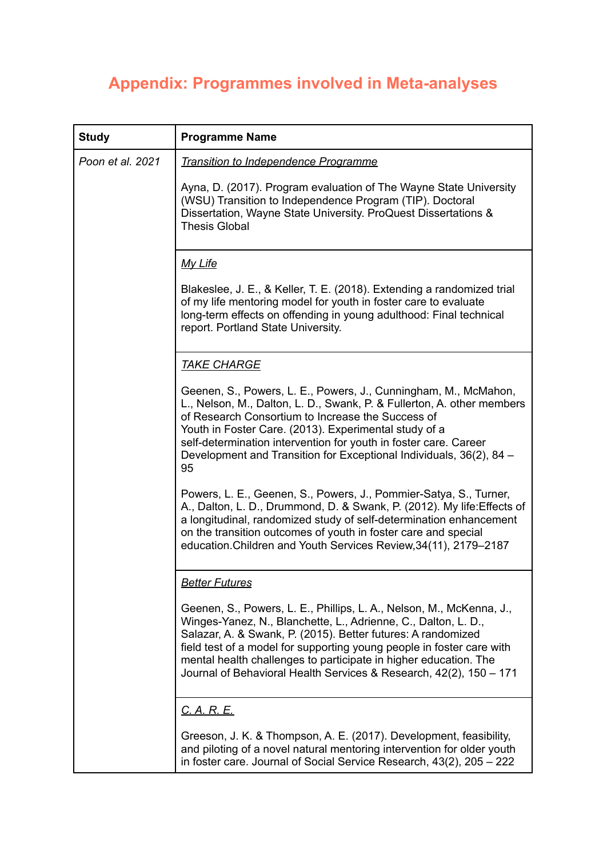# **Appendix: Programmes involved in Meta-analyses**

| <b>Study</b>     | <b>Programme Name</b>                                                                                                                                                                                                                                                                                                                                                                                                     |
|------------------|---------------------------------------------------------------------------------------------------------------------------------------------------------------------------------------------------------------------------------------------------------------------------------------------------------------------------------------------------------------------------------------------------------------------------|
| Poon et al. 2021 | <b>Transition to Independence Programme</b>                                                                                                                                                                                                                                                                                                                                                                               |
|                  | Ayna, D. (2017). Program evaluation of The Wayne State University<br>(WSU) Transition to Independence Program (TIP). Doctoral<br>Dissertation, Wayne State University. ProQuest Dissertations &<br><b>Thesis Global</b>                                                                                                                                                                                                   |
|                  | <u>My Life</u>                                                                                                                                                                                                                                                                                                                                                                                                            |
|                  | Blakeslee, J. E., & Keller, T. E. (2018). Extending a randomized trial<br>of my life mentoring model for youth in foster care to evaluate<br>long-term effects on offending in young adulthood: Final technical<br>report. Portland State University.                                                                                                                                                                     |
|                  | <b>TAKE CHARGE</b>                                                                                                                                                                                                                                                                                                                                                                                                        |
|                  | Geenen, S., Powers, L. E., Powers, J., Cunningham, M., McMahon,<br>L., Nelson, M., Dalton, L. D., Swank, P. & Fullerton, A. other members<br>of Research Consortium to Increase the Success of<br>Youth in Foster Care. (2013). Experimental study of a<br>self-determination intervention for youth in foster care. Career<br>Development and Transition for Exceptional Individuals, 36(2), 84 -<br>95                  |
|                  | Powers, L. E., Geenen, S., Powers, J., Pommier-Satya, S., Turner,<br>A., Dalton, L. D., Drummond, D. & Swank, P. (2012). My life: Effects of<br>a longitudinal, randomized study of self-determination enhancement<br>on the transition outcomes of youth in foster care and special<br>education. Children and Youth Services Review, 34(11), 2179-2187                                                                  |
|                  | <u>Better Futures</u>                                                                                                                                                                                                                                                                                                                                                                                                     |
|                  | Geenen, S., Powers, L. E., Phillips, L. A., Nelson, M., McKenna, J.,<br>Winges-Yanez, N., Blanchette, L., Adrienne, C., Dalton, L. D.,<br>Salazar, A. & Swank, P. (2015). Better futures: A randomized<br>field test of a model for supporting young people in foster care with<br>mental health challenges to participate in higher education. The<br>Journal of Behavioral Health Services & Research, 42(2), 150 - 171 |
|                  | <u>C. A. R. E.</u>                                                                                                                                                                                                                                                                                                                                                                                                        |
|                  | Greeson, J. K. & Thompson, A. E. (2017). Development, feasibility,<br>and piloting of a novel natural mentoring intervention for older youth<br>in foster care. Journal of Social Service Research, 43(2), 205 - 222                                                                                                                                                                                                      |